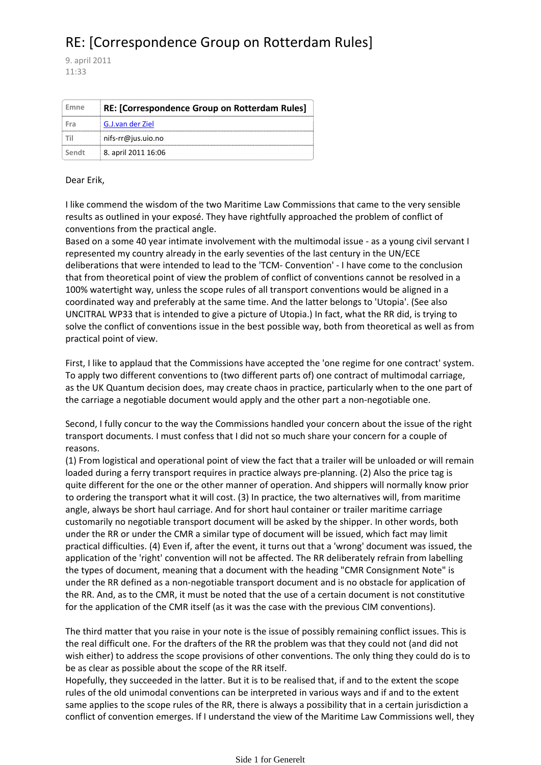## RE: [Correspondence Group on Rotterdam Rules]

9. april 2011 11:33

| Emne  | RE: [Correspondence Group on Rotterdam Rules] |
|-------|-----------------------------------------------|
| Fra   | G.J.van der Ziel                              |
|       | nifs-rr@jus.uio.no                            |
| Sendt | 8. april 2011 16:06                           |

## Dear Erik,

I like commend the wisdom of the two Maritime Law Commissions that came to the very sensible results as outlined in your exposé. They have rightfully approached the problem of conflict of conventions from the practical angle.

Based on a some 40 year intimate involvement with the multimodal issue ‐ as a young civil servant I represented my country already in the early seventies of the last century in the UN/ECE deliberations that were intended to lead to the 'TCM‐ Convention' ‐ I have come to the conclusion that from theoretical point of view the problem of conflict of conventions cannot be resolved in a 100% watertight way, unless the scope rules of all transport conventions would be aligned in a coordinated way and preferably at the same time. And the latter belongs to 'Utopia'. (See also UNCITRAL WP33 that is intended to give a picture of Utopia.) In fact, what the RR did, is trying to solve the conflict of conventions issue in the best possible way, both from theoretical as well as from practical point of view.

First, I like to applaud that the Commissions have accepted the 'one regime for one contract' system. To apply two different conventions to (two different parts of) one contract of multimodal carriage, as the UK Quantum decision does, may create chaos in practice, particularly when to the one part of the carriage a negotiable document would apply and the other part a non-negotiable one.

Second, I fully concur to the way the Commissions handled your concern about the issue of the right transport documents. I must confess that I did not so much share your concern for a couple of reasons.

(1) From logistical and operational point of view the fact that a trailer will be unloaded or will remain loaded during a ferry transport requires in practice always pre‐planning. (2) Also the price tag is quite different for the one or the other manner of operation. And shippers will normally know prior to ordering the transport what it will cost. (3) In practice, the two alternatives will, from maritime angle, always be short haul carriage. And for short haul container or trailer maritime carriage customarily no negotiable transport document will be asked by the shipper. In other words, both under the RR or under the CMR a similar type of document will be issued, which fact may limit practical difficulties. (4) Even if, after the event, it turns out that a 'wrong' document was issued, the application of the 'right' convention will not be affected. The RR deliberately refrain from labelling the types of document, meaning that a document with the heading "CMR Consignment Note" is under the RR defined as a non‐negotiable transport document and is no obstacle for application of the RR. And, as to the CMR, it must be noted that the use of a certain document is not constitutive for the application of the CMR itself (as it was the case with the previous CIM conventions).

The third matter that you raise in your note is the issue of possibly remaining conflict issues. This is the real difficult one. For the drafters of the RR the problem was that they could not (and did not wish either) to address the scope provisions of other conventions. The only thing they could do is to be as clear as possible about the scope of the RR itself.

Hopefully, they succeeded in the latter. But it is to be realised that, if and to the extent the scope rules of the old unimodal conventions can be interpreted in various ways and if and to the extent same applies to the scope rules of the RR, there is always a possibility that in a certain jurisdiction a conflict of convention emerges. If I understand the view of the Maritime Law Commissions well, they